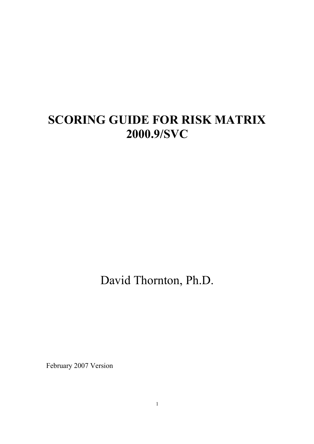## SCORING GUIDE FOR RISK MATRIX 2000.9/SVC

David Thornton, Ph.D.

February 2007 Version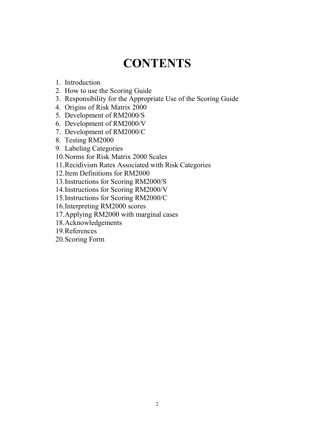# **CONTENTS**

- 1. Introduction
- 2. How to use the Scoring Guide
- 3. Responsibility for the Appropriate Use of the Scoring Guide
- 4. Origins of Risk Matrix 2000
- 5. Development of RM2000/S
- 6. Development of RM2000/V
- 7. Development of RM2000/C
- 8. Testing RM2000
- 9. Labeling Categories
- 10.Norms for Risk Matrix 2000 Scales
- 11.Recidivism Rates Associated with Risk Categories
- 12.Item Definitions for RM2000
- 13.Instructions for Scoring RM2000/S
- 14.Instructions for Scoring RM2000/V
- 15.Instructions for Scoring RM2000/C
- 16.Interpreting RM2000 scores
- 17.Applying RM2000 with marginal cases
- 18.Acknowledgements
- 19.References
- 20.Scoring Form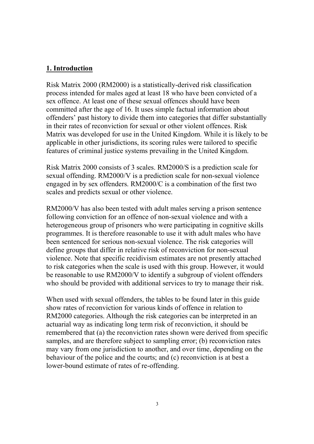#### 1. Introduction

Risk Matrix 2000 (RM2000) is a statistically-derived risk classification process intended for males aged at least 18 who have been convicted of a sex offence. At least one of these sexual offences should have been committed after the age of 16. It uses simple factual information about offenders' past history to divide them into categories that differ substantially in their rates of reconviction for sexual or other violent offences. Risk Matrix was developed for use in the United Kingdom. While it is likely to be applicable in other jurisdictions, its scoring rules were tailored to specific features of criminal justice systems prevailing in the United Kingdom.

Risk Matrix 2000 consists of 3 scales. RM2000/S is a prediction scale for sexual offending. RM2000/V is a prediction scale for non-sexual violence engaged in by sex offenders. RM2000/C is a combination of the first two scales and predicts sexual or other violence.

RM2000/V has also been tested with adult males serving a prison sentence following conviction for an offence of non-sexual violence and with a heterogeneous group of prisoners who were participating in cognitive skills programmes. It is therefore reasonable to use it with adult males who have been sentenced for serious non-sexual violence. The risk categories will define groups that differ in relative risk of reconviction for non-sexual violence. Note that specific recidivism estimates are not presently attached to risk categories when the scale is used with this group. However, it would be reasonable to use RM2000/V to identify a subgroup of violent offenders who should be provided with additional services to try to manage their risk.

When used with sexual offenders, the tables to be found later in this guide show rates of reconviction for various kinds of offence in relation to RM2000 categories. Although the risk categories can be interpreted in an actuarial way as indicating long term risk of reconviction, it should be remembered that (a) the reconviction rates shown were derived from specific samples, and are therefore subject to sampling error; (b) reconviction rates may vary from one jurisdiction to another, and over time, depending on the behaviour of the police and the courts; and (c) reconviction is at best a lower-bound estimate of rates of re-offending.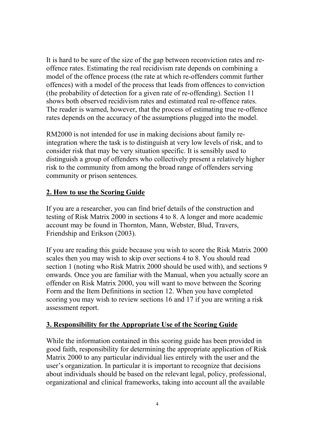It is hard to be sure of the size of the gap between reconviction rates and reoffence rates. Estimating the real recidivism rate depends on combining a model of the offence process (the rate at which re-offenders commit further offences) with a model of the process that leads from offences to conviction (the probability of detection for a given rate of re-offending). Section 11 shows both observed recidivism rates and estimated real re-offence rates. The reader is warned, however, that the process of estimating true re-offence rates depends on the accuracy of the assumptions plugged into the model.

RM2000 is not intended for use in making decisions about family reintegration where the task is to distinguish at very low levels of risk, and to consider risk that may be very situation specific. It is sensibly used to distinguish a group of offenders who collectively present a relatively higher risk to the community from among the broad range of offenders serving community or prison sentences.

#### 2. How to use the Scoring Guide

If you are a researcher, you can find brief details of the construction and testing of Risk Matrix 2000 in sections 4 to 8. A longer and more academic account may be found in Thornton, Mann, Webster, Blud, Travers, Friendship and Erikson (2003).

If you are reading this guide because you wish to score the Risk Matrix 2000 scales then you may wish to skip over sections 4 to 8. You should read section 1 (noting who Risk Matrix 2000 should be used with), and sections 9 onwards. Once you are familiar with the Manual, when you actually score an offender on Risk Matrix 2000, you will want to move between the Scoring Form and the Item Definitions in section 12. When you have completed scoring you may wish to review sections 16 and 17 if you are writing a risk assessment report.

#### 3. Responsibility for the Appropriate Use of the Scoring Guide

While the information contained in this scoring guide has been provided in good faith, responsibility for determining the appropriate application of Risk Matrix 2000 to any particular individual lies entirely with the user and the user's organization. In particular it is important to recognize that decisions about individuals should be based on the relevant legal, policy, professional, organizational and clinical frameworks, taking into account all the available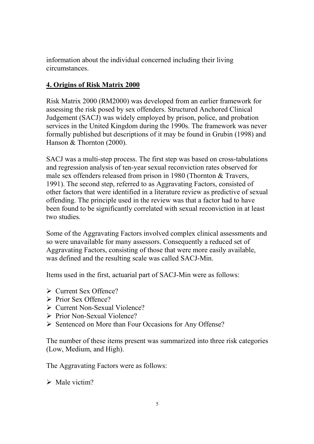information about the individual concerned including their living circumstances.

## 4. Origins of Risk Matrix 2000

Risk Matrix 2000 (RM2000) was developed from an earlier framework for assessing the risk posed by sex offenders. Structured Anchored Clinical Judgement (SACJ) was widely employed by prison, police, and probation services in the United Kingdom during the 1990s. The framework was never formally published but descriptions of it may be found in Grubin (1998) and Hanson & Thornton (2000).

SACJ was a multi-step process. The first step was based on cross-tabulations and regression analysis of ten-year sexual reconviction rates observed for male sex offenders released from prison in 1980 (Thornton & Travers, 1991). The second step, referred to as Aggravating Factors, consisted of other factors that were identified in a literature review as predictive of sexual offending. The principle used in the review was that a factor had to have been found to be significantly correlated with sexual reconviction in at least two studies.

Some of the Aggravating Factors involved complex clinical assessments and so were unavailable for many assessors. Consequently a reduced set of Aggravating Factors, consisting of those that were more easily available, was defined and the resulting scale was called SACJ-Min.

Items used in the first, actuarial part of SACJ-Min were as follows:

- $\triangleright$  Current Sex Offence?
- $\triangleright$  Prior Sex Offence?
- $\triangleright$  Current Non-Sexual Violence?
- $\triangleright$  Prior Non-Sexual Violence?
- Sentenced on More than Four Occasions for Any Offense?

The number of these items present was summarized into three risk categories (Low, Medium, and High).

The Aggravating Factors were as follows:

 $\triangleright$  Male victim?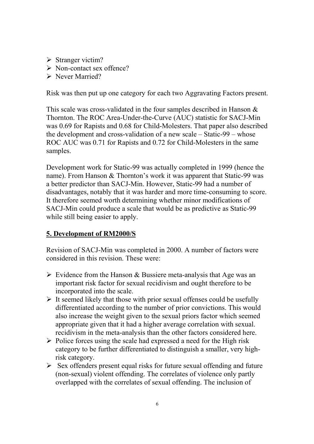- $\triangleright$  Stranger victim?
- $\triangleright$  Non-contact sex offence?
- **► Never Married?**

Risk was then put up one category for each two Aggravating Factors present.

This scale was cross-validated in the four samples described in Hanson & Thornton. The ROC Area-Under-the-Curve (AUC) statistic for SACJ-Min was 0.69 for Rapists and 0.68 for Child-Molesters. That paper also described the development and cross-validation of a new scale – Static-99 – whose ROC AUC was 0.71 for Rapists and 0.72 for Child-Molesters in the same samples.

Development work for Static-99 was actually completed in 1999 (hence the name). From Hanson & Thornton's work it was apparent that Static-99 was a better predictor than SACJ-Min. However, Static-99 had a number of disadvantages, notably that it was harder and more time-consuming to score. It therefore seemed worth determining whether minor modifications of SACJ-Min could produce a scale that would be as predictive as Static-99 while still being easier to apply.

#### 5. Development of RM2000/S

Revision of SACJ-Min was completed in 2000. A number of factors were considered in this revision. These were:

- $\triangleright$  Evidence from the Hanson & Bussiere meta-analysis that Age was an important risk factor for sexual recidivism and ought therefore to be incorporated into the scale.
- $\triangleright$  It seemed likely that those with prior sexual offenses could be usefully differentiated according to the number of prior convictions. This would also increase the weight given to the sexual priors factor which seemed appropriate given that it had a higher average correlation with sexual. recidivism in the meta-analysis than the other factors considered here.
- $\triangleright$  Police forces using the scale had expressed a need for the High risk category to be further differentiated to distinguish a smaller, very highrisk category.
- $\triangleright$  Sex offenders present equal risks for future sexual offending and future (non-sexual) violent offending. The correlates of violence only partly overlapped with the correlates of sexual offending. The inclusion of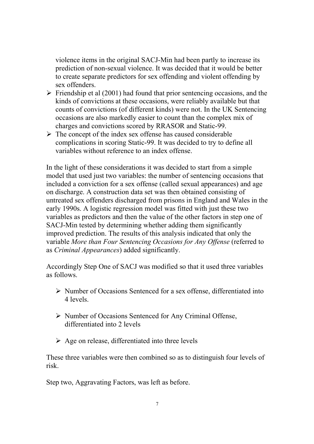violence items in the original SACJ-Min had been partly to increase its prediction of non-sexual violence. It was decided that it would be better to create separate predictors for sex offending and violent offending by sex offenders.

- $\triangleright$  Friendship et al (2001) had found that prior sentencing occasions, and the kinds of convictions at these occasions, were reliably available but that counts of convictions (of different kinds) were not. In the UK Sentencing occasions are also markedly easier to count than the complex mix of charges and convictions scored by RRASOR and Static-99.
- $\triangleright$  The concept of the index sex offense has caused considerable complications in scoring Static-99. It was decided to try to define all variables without reference to an index offense.

In the light of these considerations it was decided to start from a simple model that used just two variables: the number of sentencing occasions that included a conviction for a sex offense (called sexual appearances) and age on discharge. A construction data set was then obtained consisting of untreated sex offenders discharged from prisons in England and Wales in the early 1990s. A logistic regression model was fitted with just these two variables as predictors and then the value of the other factors in step one of SACJ-Min tested by determining whether adding them significantly improved prediction. The results of this analysis indicated that only the variable More than Four Sentencing Occasions for Any Offense (referred to as Criminal Appearances) added significantly.

Accordingly Step One of SACJ was modified so that it used three variables as follows.

- $\triangleright$  Number of Occasions Sentenced for a sex offense, differentiated into 4 levels.
- $\triangleright$  Number of Occasions Sentenced for Any Criminal Offense, differentiated into 2 levels
- $\triangleright$  Age on release, differentiated into three levels

These three variables were then combined so as to distinguish four levels of risk.

Step two, Aggravating Factors, was left as before.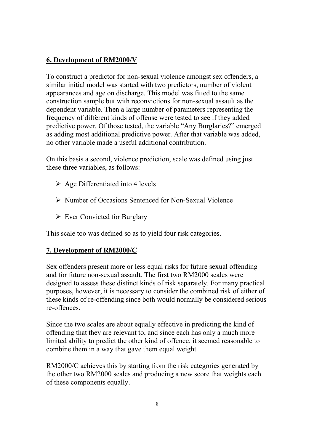## 6. Development of RM2000/V

To construct a predictor for non-sexual violence amongst sex offenders, a similar initial model was started with two predictors, number of violent appearances and age on discharge. This model was fitted to the same construction sample but with reconvictions for non-sexual assault as the dependent variable. Then a large number of parameters representing the frequency of different kinds of offense were tested to see if they added predictive power. Of those tested, the variable "Any Burglaries?" emerged as adding most additional predictive power. After that variable was added, no other variable made a useful additional contribution.

On this basis a second, violence prediction, scale was defined using just these three variables, as follows:

- $\triangleright$  Age Differentiated into 4 levels
- Number of Occasions Sentenced for Non-Sexual Violence
- $\triangleright$  Ever Convicted for Burglary

This scale too was defined so as to yield four risk categories.

## 7. Development of RM2000/C

Sex offenders present more or less equal risks for future sexual offending and for future non-sexual assault. The first two RM2000 scales were designed to assess these distinct kinds of risk separately. For many practical purposes, however, it is necessary to consider the combined risk of either of these kinds of re-offending since both would normally be considered serious re-offences.

Since the two scales are about equally effective in predicting the kind of offending that they are relevant to, and since each has only a much more limited ability to predict the other kind of offence, it seemed reasonable to combine them in a way that gave them equal weight.

RM2000/C achieves this by starting from the risk categories generated by the other two RM2000 scales and producing a new score that weights each of these components equally.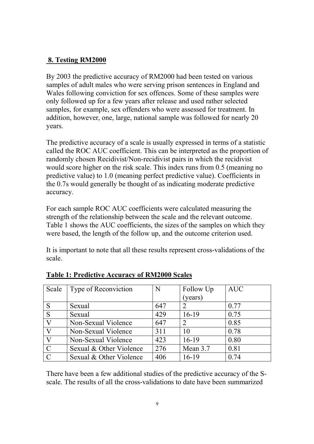#### 8. Testing RM2000

By 2003 the predictive accuracy of RM2000 had been tested on various samples of adult males who were serving prison sentences in England and Wales following conviction for sex offences. Some of these samples were only followed up for a few years after release and used rather selected samples, for example, sex offenders who were assessed for treatment. In addition, however, one, large, national sample was followed for nearly 20 years.

The predictive accuracy of a scale is usually expressed in terms of a statistic called the ROC AUC coefficient. This can be interpreted as the proportion of randomly chosen Recidivist/Non-recidivist pairs in which the recidivist would score higher on the risk scale. This index runs from 0.5 (meaning no predictive value) to 1.0 (meaning perfect predictive value). Coefficients in the 0.7s would generally be thought of as indicating moderate predictive accuracy.

For each sample ROC AUC coefficients were calculated measuring the strength of the relationship between the scale and the relevant outcome. Table 1 shows the AUC coefficients, the sizes of the samples on which they were based, the length of the follow up, and the outcome criterion used.

It is important to note that all these results represent cross-validations of the scale.

| Scale         | Type of Reconviction    | N   | Follow Up     | <b>AUC</b> |
|---------------|-------------------------|-----|---------------|------------|
|               |                         |     | (years)       |            |
| S             | Sexual                  | 647 | $\mathcal{D}$ | 0.77       |
| S             | Sexual                  | 429 | $16-19$       | 0.75       |
| V             | Non-Sexual Violence     | 647 | $\mathcal{D}$ | 0.85       |
| V             | Non-Sexual Violence     | 311 | 10            | 0.78       |
| V             | Non-Sexual Violence     | 423 | $16-19$       | 0.80       |
| $\mathbf{C}$  | Sexual & Other Violence | 276 | Mean 3.7      | 0.81       |
| $\mathcal{C}$ | Sexual & Other Violence | 406 | $16-19$       | 0.74       |

#### Table 1: Predictive Accuracy of RM2000 Scales

There have been a few additional studies of the predictive accuracy of the Sscale. The results of all the cross-validations to date have been summarized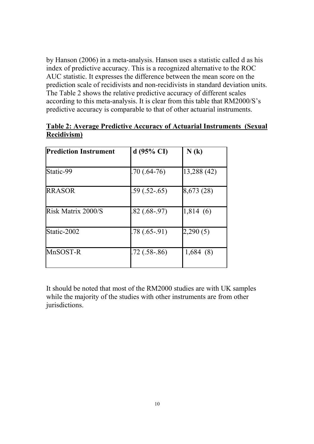by Hanson (2006) in a meta-analysis. Hanson uses a statistic called d as his index of predictive accuracy. This is a recognized alternative to the ROC AUC statistic. It expresses the difference between the mean score on the prediction scale of recidivists and non-recidivists in standard deviation units. The Table 2 shows the relative predictive accuracy of different scales according to this meta-analysis. It is clear from this table that RM2000/S's predictive accuracy is comparable to that of other actuarial instruments.

| <b>Prediction Instrument</b> | d(95% CI)      | N(k)        |
|------------------------------|----------------|-------------|
| Static-99                    | .70 (.64-76)   | 13,288 (42) |
| <b>RRASOR</b>                | $.59(.52-.65)$ | 8,673 (28)  |
| Risk Matrix 2000/S           | $.82(.68-.97)$ | 1,814(6)    |
| Static-2002                  | $.78(.65-.91)$ | 2,290(5)    |
| MnSOST-R                     | $.72(.58-.86)$ | 1,684(8)    |

#### Table 2: Average Predictive Accuracy of Actuarial Instruments (Sexual Recidivism)

It should be noted that most of the RM2000 studies are with UK samples while the majority of the studies with other instruments are from other jurisdictions.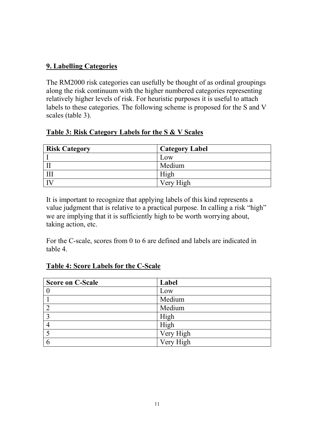## 9. Labelling Categories

The RM2000 risk categories can usefully be thought of as ordinal groupings along the risk continuum with the higher numbered categories representing relatively higher levels of risk. For heuristic purposes it is useful to attach labels to these categories. The following scheme is proposed for the S and V scales (table 3).

#### Table 3: Risk Category Labels for the S & V Scales

| <b>Risk Category</b> | Category Label |
|----------------------|----------------|
|                      | Low            |
|                      | Medium         |
|                      | High           |
|                      | Very High      |

It is important to recognize that applying labels of this kind represents a value judgment that is relative to a practical purpose. In calling a risk "high" we are implying that it is sufficiently high to be worth worrying about, taking action, etc.

For the C-scale, scores from 0 to 6 are defined and labels are indicated in table 4.

| <b>Score on C-Scale</b> | Label     |
|-------------------------|-----------|
|                         | Low       |
|                         | Medium    |
|                         | Medium    |
|                         | High      |
|                         | High      |
|                         | Very High |
|                         | Very High |

#### Table 4: Score Labels for the C-Scale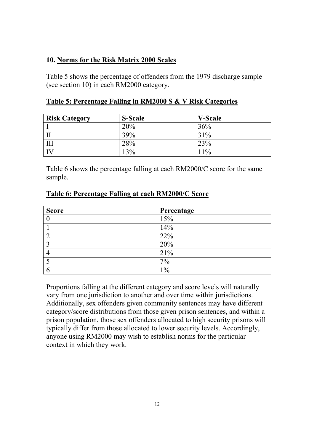#### 10. Norms for the Risk Matrix 2000 Scales

Table 5 shows the percentage of offenders from the 1979 discharge sample (see section 10) in each RM2000 category.

#### Table 5: Percentage Falling in RM2000 S & V Risk Categories

| <b>Risk Category</b> | <b>S-Scale</b> | <b>V-Scale</b> |
|----------------------|----------------|----------------|
|                      | 20%            | 36%            |
| II                   | 39%            | 31%            |
| $\mathbf{III}$       | 28%            | 23%            |
| $\overline{IV}$      | 13%            | 11%            |

Table 6 shows the percentage falling at each RM2000/C score for the same sample.

#### Table 6: Percentage Falling at each RM2000/C Score

| <b>Score</b> | Percentage |
|--------------|------------|
|              | 15%        |
|              | 14%        |
|              | 22%        |
|              | 20%        |
|              | 21%        |
|              | 7%         |
| O            | 1%         |

Proportions falling at the different category and score levels will naturally vary from one jurisdiction to another and over time within jurisdictions. Additionally, sex offenders given community sentences may have different category/score distributions from those given prison sentences, and within a prison population, those sex offenders allocated to high security prisons will typically differ from those allocated to lower security levels. Accordingly, anyone using RM2000 may wish to establish norms for the particular context in which they work.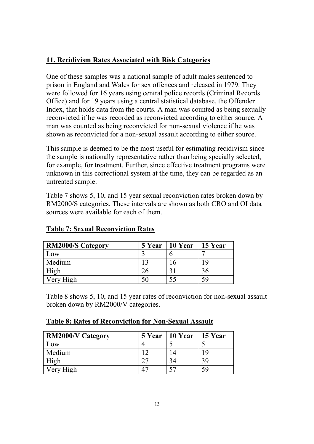## 11. Recidivism Rates Associated with Risk Categories

One of these samples was a national sample of adult males sentenced to prison in England and Wales for sex offences and released in 1979. They were followed for 16 years using central police records (Criminal Records Office) and for 19 years using a central statistical database, the Offender Index, that holds data from the courts. A man was counted as being sexually reconvicted if he was recorded as reconvicted according to either source. A man was counted as being reconvicted for non-sexual violence if he was shown as reconvicted for a non-sexual assault according to either source.

This sample is deemed to be the most useful for estimating recidivism since the sample is nationally representative rather than being specially selected, for example, for treatment. Further, since effective treatment programs were unknown in this correctional system at the time, they can be regarded as an untreated sample.

Table 7 shows 5, 10, and 15 year sexual reconviction rates broken down by RM2000/S categories. These intervals are shown as both CRO and OI data sources were available for each of them.

| <b>RM2000/S Category</b> | <b>5 Year</b> | 10 Year      | 15 Year |
|--------------------------|---------------|--------------|---------|
| Low                      |               |              |         |
| Medium                   |               | . ხ          | 1 Q     |
| High                     |               | $\mathbf{r}$ | 30      |
| Very High                |               |              | 59      |

#### Table 7: Sexual Reconviction Rates

Table 8 shows 5, 10, and 15 year rates of reconviction for non-sexual assault broken down by RM2000/V categories.

|  |  | <b>Table 8: Rates of Reconviction for Non-Sexual Assault</b> |
|--|--|--------------------------------------------------------------|
|  |  |                                                              |

| <b>RM2000/V Category</b> | <b>5 Year</b> | 10 Year | 15 Year |
|--------------------------|---------------|---------|---------|
| Low                      |               |         |         |
| Medium                   |               |         | 1 Q     |
| High                     |               | 34      | 39      |
| Very High                |               | 57      | 59      |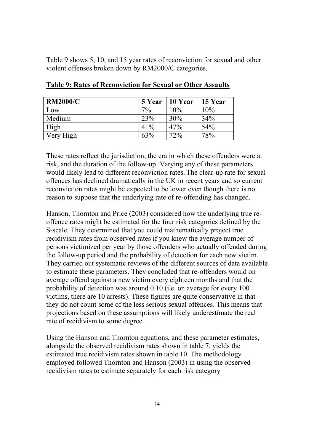Table 9 shows 5, 10, and 15 year rates of reconviction for sexual and other violent offenses broken down by RM2000/C categories.

| <b>RM2000/C</b> | 5 Year | 10 Year | 15 Year |
|-----------------|--------|---------|---------|
| Low             | $7\%$  | 10%     | 10%     |
| Medium          | 23%    | 30%     | 34%     |
| High            | 41%    | 47%     | 54%     |
| Very High       | 63%    | 72%     | 78%     |

Table 9: Rates of Reconviction for Sexual or Other Assaults

These rates reflect the jurisdiction, the era in which these offenders were at risk, and the duration of the follow-up. Varying any of these parameters would likely lead to different reconviction rates. The clear-up rate for sexual offences has declined dramatically in the UK in recent years and so current reconviction rates might be expected to be lower even though there is no reason to suppose that the underlying rate of re-offending has changed.

Hanson, Thornton and Price (2003) considered how the underlying true reoffence rates might be estimated for the four risk categories defined by the S-scale. They determined that you could mathematically project true recidivism rates from observed rates if you knew the average number of persons victimized per year by those offenders who actually offended during the follow-up period and the probability of detection for each new victim. They carried out systematic reviews of the different sources of data available to estimate these parameters. They concluded that re-offenders would on average offend against a new victim every eighteen months and that the probability of detection was around 0.10 (i.e. on average for every 100 victims, there are 10 arrests). These figures are quite conservative in that they do not count some of the less serious sexual offences. This means that projections based on these assumptions will likely underestimate the real rate of recidivism to some degree.

Using the Hanson and Thornton equations, and these parameter estimates, alongside the observed recidivism rates shown in table 7, yields the estimated true recidivism rates shown in table 10. The methodology employed followed Thornton and Hanson (2003) in using the observed recidivism rates to estimate separately for each risk category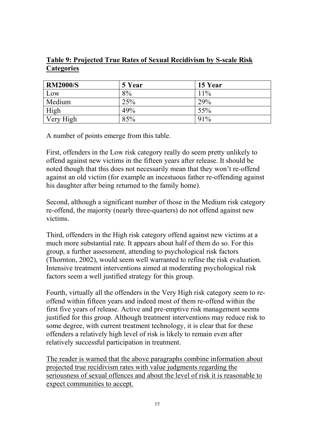### Table 9: Projected True Rates of Sexual Recidivism by S-scale Risk **Categories**

| <b>RM2000/S</b> | 5 Year | 15 Year |
|-----------------|--------|---------|
| Low             | 8%     | 11%     |
| Medium          | 25%    | 29%     |
| High            | 49%    | 55%     |
| Very High       | 85%    | 91%     |

A number of points emerge from this table.

First, offenders in the Low risk category really do seem pretty unlikely to offend against new victims in the fifteen years after release. It should be noted though that this does not necessarily mean that they won't re-offend against an old victim (for example an incestuous father re-offending against his daughter after being returned to the family home).

Second, although a significant number of those in the Medium risk category re-offend, the majority (nearly three-quarters) do not offend against new victims.

Third, offenders in the High risk category offend against new victims at a much more substantial rate. It appears about half of them do so. For this group, a further assessment, attending to psychological risk factors (Thornton, 2002), would seem well warranted to refine the risk evaluation. Intensive treatment interventions aimed at moderating psychological risk factors seem a well justified strategy for this group.

Fourth, virtually all the offenders in the Very High risk category seem to reoffend within fifteen years and indeed most of them re-offend within the first five years of release. Active and pre-emptive risk management seems justified for this group. Although treatment interventions may reduce risk to some degree, with current treatment technology, it is clear that for these offenders a relatively high level of risk is likely to remain even after relatively successful participation in treatment.

The reader is warned that the above paragraphs combine information about projected true recidivism rates with value judgments regarding the seriousness of sexual offences and about the level of risk it is reasonable to expect communities to accept.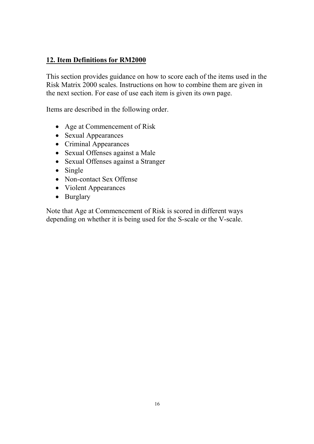### 12. Item Definitions for RM2000

This section provides guidance on how to score each of the items used in the Risk Matrix 2000 scales. Instructions on how to combine them are given in the next section. For ease of use each item is given its own page.

Items are described in the following order.

- Age at Commencement of Risk
- Sexual Appearances
- Criminal Appearances
- Sexual Offenses against a Male
- Sexual Offenses against a Stranger
- Single
- Non-contact Sex Offense
- Violent Appearances
- Burglary

Note that Age at Commencement of Risk is scored in different ways depending on whether it is being used for the S-scale or the V-scale.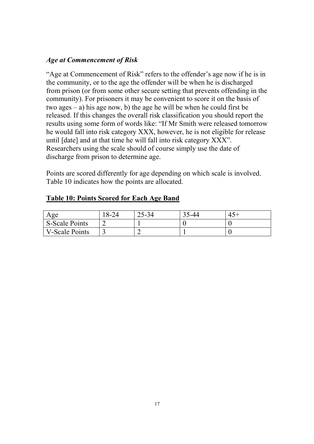#### Age at Commencement of Risk

"Age at Commencement of Risk" refers to the offender's age now if he is in the community, or to the age the offender will be when he is discharged from prison (or from some other secure setting that prevents offending in the community). For prisoners it may be convenient to score it on the basis of two ages – a) his age now, b) the age he will be when he could first be released. If this changes the overall risk classification you should report the results using some form of words like: "If Mr Smith were released tomorrow he would fall into risk category XXX, however, he is not eligible for release until [date] and at that time he will fall into risk category XXX". Researchers using the scale should of course simply use the date of discharge from prison to determine age.

Points are scored differently for age depending on which scale is involved. Table 10 indicates how the points are allocated.

#### Table 10: Points Scored for Each Age Band

| Age                   | $8 - 24$ | $25 - 34$ | 5-44 |  |
|-----------------------|----------|-----------|------|--|
| <b>S-Scale Points</b> |          |           |      |  |
| V-Scale Points        |          |           |      |  |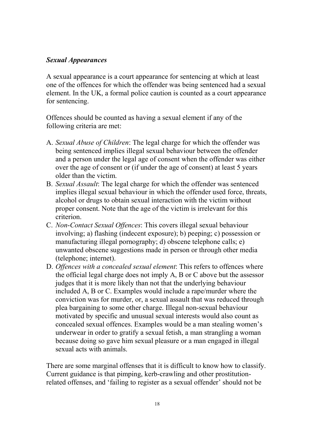#### Sexual Appearances

A sexual appearance is a court appearance for sentencing at which at least one of the offences for which the offender was being sentenced had a sexual element. In the UK, a formal police caution is counted as a court appearance for sentencing.

Offences should be counted as having a sexual element if any of the following criteria are met:

- A. Sexual Abuse of Children: The legal charge for which the offender was being sentenced implies illegal sexual behaviour between the offender and a person under the legal age of consent when the offender was either over the age of consent or (if under the age of consent) at least 5 years older than the victim.
- B. Sexual Assault: The legal charge for which the offender was sentenced implies illegal sexual behaviour in which the offender used force, threats, alcohol or drugs to obtain sexual interaction with the victim without proper consent. Note that the age of the victim is irrelevant for this criterion.
- C. Non-Contact Sexual Offences: This covers illegal sexual behaviour involving; a) flashing (indecent exposure); b) peeping; c) possession or manufacturing illegal pornography; d) obscene telephone calls; e) unwanted obscene suggestions made in person or through other media (telephone; internet).
- D. Offences with a concealed sexual element: This refers to offences where the official legal charge does not imply A, B or C above but the assessor judges that it is more likely than not that the underlying behaviour included A, B or C. Examples would include a rape/murder where the conviction was for murder, or, a sexual assault that was reduced through plea bargaining to some other charge. Illegal non-sexual behaviour motivated by specific and unusual sexual interests would also count as concealed sexual offences. Examples would be a man stealing women's underwear in order to gratify a sexual fetish, a man strangling a woman because doing so gave him sexual pleasure or a man engaged in illegal sexual acts with animals.

There are some marginal offenses that it is difficult to know how to classify. Current guidance is that pimping, kerb-crawling and other prostitutionrelated offenses, and 'failing to register as a sexual offender' should not be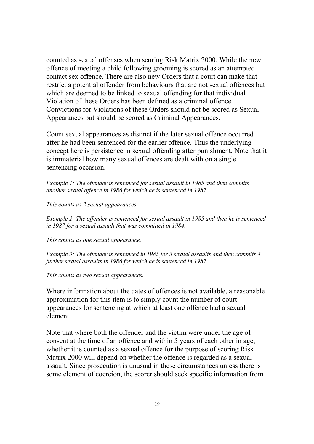counted as sexual offenses when scoring Risk Matrix 2000. While the new offence of meeting a child following grooming is scored as an attempted contact sex offence. There are also new Orders that a court can make that restrict a potential offender from behaviours that are not sexual offences but which are deemed to be linked to sexual offending for that individual. Violation of these Orders has been defined as a criminal offence. Convictions for Violations of these Orders should not be scored as Sexual Appearances but should be scored as Criminal Appearances.

Count sexual appearances as distinct if the later sexual offence occurred after he had been sentenced for the earlier offence. Thus the underlying concept here is persistence in sexual offending after punishment. Note that it is immaterial how many sexual offences are dealt with on a single sentencing occasion.

Example 1: The offender is sentenced for sexual assault in 1985 and then commits another sexual offence in 1986 for which he is sentenced in 1987.

This counts as 2 sexual appearances.

Example 2: The offender is sentenced for sexual assault in 1985 and then he is sentenced in 1987 for a sexual assault that was committed in 1984.

This counts as one sexual appearance.

Example 3: The offender is sentenced in 1985 for 3 sexual assaults and then commits 4 further sexual assaults in 1986 for which he is sentenced in 1987.

This counts as two sexual appearances.

Where information about the dates of offences is not available, a reasonable approximation for this item is to simply count the number of court appearances for sentencing at which at least one offence had a sexual element.

Note that where both the offender and the victim were under the age of consent at the time of an offence and within 5 years of each other in age, whether it is counted as a sexual offence for the purpose of scoring Risk Matrix 2000 will depend on whether the offence is regarded as a sexual assault. Since prosecution is unusual in these circumstances unless there is some element of coercion, the scorer should seek specific information from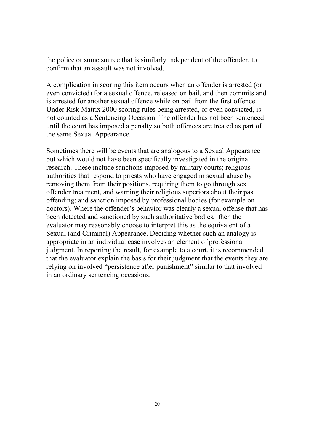the police or some source that is similarly independent of the offender, to confirm that an assault was not involved.

A complication in scoring this item occurs when an offender is arrested (or even convicted) for a sexual offence, released on bail, and then commits and is arrested for another sexual offence while on bail from the first offence. Under Risk Matrix 2000 scoring rules being arrested, or even convicted, is not counted as a Sentencing Occasion. The offender has not been sentenced until the court has imposed a penalty so both offences are treated as part of the same Sexual Appearance.

Sometimes there will be events that are analogous to a Sexual Appearance but which would not have been specifically investigated in the original research. These include sanctions imposed by military courts; religious authorities that respond to priests who have engaged in sexual abuse by removing them from their positions, requiring them to go through sex offender treatment, and warning their religious superiors about their past offending; and sanction imposed by professional bodies (for example on doctors). Where the offender's behavior was clearly a sexual offense that has been detected and sanctioned by such authoritative bodies, then the evaluator may reasonably choose to interpret this as the equivalent of a Sexual (and Criminal) Appearance. Deciding whether such an analogy is appropriate in an individual case involves an element of professional judgment. In reporting the result, for example to a court, it is recommended that the evaluator explain the basis for their judgment that the events they are relying on involved "persistence after punishment" similar to that involved in an ordinary sentencing occasions.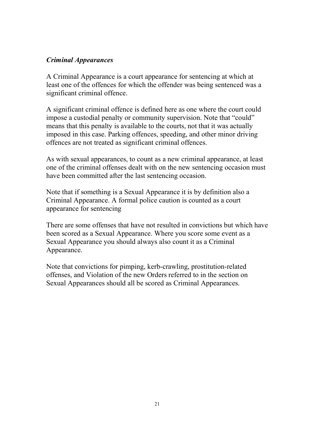#### Criminal Appearances

A Criminal Appearance is a court appearance for sentencing at which at least one of the offences for which the offender was being sentenced was a significant criminal offence.

A significant criminal offence is defined here as one where the court could impose a custodial penalty or community supervision. Note that "could" means that this penalty is available to the courts, not that it was actually imposed in this case. Parking offences, speeding, and other minor driving offences are not treated as significant criminal offences.

As with sexual appearances, to count as a new criminal appearance, at least one of the criminal offenses dealt with on the new sentencing occasion must have been committed after the last sentencing occasion.

Note that if something is a Sexual Appearance it is by definition also a Criminal Appearance. A formal police caution is counted as a court appearance for sentencing

There are some offenses that have not resulted in convictions but which have been scored as a Sexual Appearance. Where you score some event as a Sexual Appearance you should always also count it as a Criminal Appearance.

Note that convictions for pimping, kerb-crawling, prostitution-related offenses, and Violation of the new Orders referred to in the section on Sexual Appearances should all be scored as Criminal Appearances.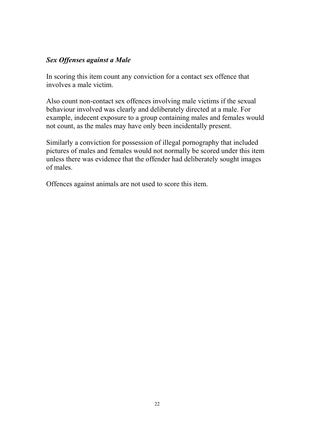#### Sex Offenses against a Male

In scoring this item count any conviction for a contact sex offence that involves a male victim.

Also count non-contact sex offences involving male victims if the sexual behaviour involved was clearly and deliberately directed at a male. For example, indecent exposure to a group containing males and females would not count, as the males may have only been incidentally present.

Similarly a conviction for possession of illegal pornography that included pictures of males and females would not normally be scored under this item unless there was evidence that the offender had deliberately sought images of males.

Offences against animals are not used to score this item.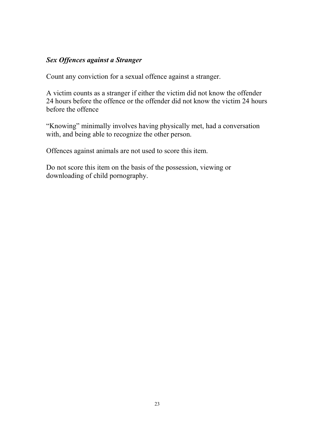#### Sex Offences against a Stranger

Count any conviction for a sexual offence against a stranger.

A victim counts as a stranger if either the victim did not know the offender 24 hours before the offence or the offender did not know the victim 24 hours before the offence

"Knowing" minimally involves having physically met, had a conversation with, and being able to recognize the other person.

Offences against animals are not used to score this item.

Do not score this item on the basis of the possession, viewing or downloading of child pornography.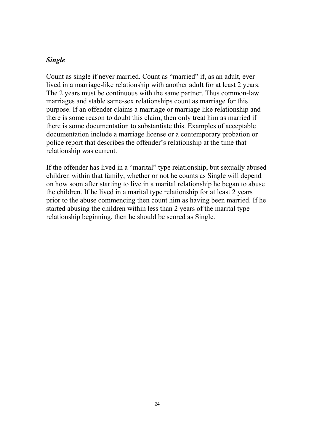#### Single

Count as single if never married. Count as "married" if, as an adult, ever lived in a marriage-like relationship with another adult for at least 2 years. The 2 years must be continuous with the same partner. Thus common-law marriages and stable same-sex relationships count as marriage for this purpose. If an offender claims a marriage or marriage like relationship and there is some reason to doubt this claim, then only treat him as married if there is some documentation to substantiate this. Examples of acceptable documentation include a marriage license or a contemporary probation or police report that describes the offender's relationship at the time that relationship was current.

If the offender has lived in a "marital" type relationship, but sexually abused children within that family, whether or not he counts as Single will depend on how soon after starting to live in a marital relationship he began to abuse the children. If he lived in a marital type relationship for at least 2 years prior to the abuse commencing then count him as having been married. If he started abusing the children within less than 2 years of the marital type relationship beginning, then he should be scored as Single.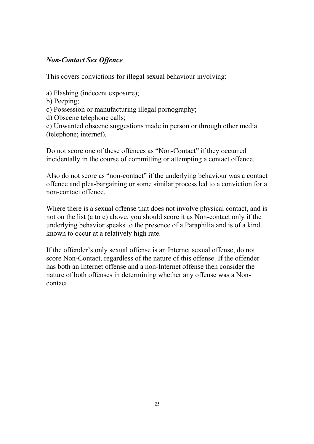#### Non-Contact Sex Offence

This covers convictions for illegal sexual behaviour involving:

- a) Flashing (indecent exposure);
- b) Peeping;
- c) Possession or manufacturing illegal pornography;
- d) Obscene telephone calls;

e) Unwanted obscene suggestions made in person or through other media (telephone; internet).

Do not score one of these offences as "Non-Contact" if they occurred incidentally in the course of committing or attempting a contact offence.

Also do not score as "non-contact" if the underlying behaviour was a contact offence and plea-bargaining or some similar process led to a conviction for a non-contact offence.

Where there is a sexual offense that does not involve physical contact, and is not on the list (a to e) above, you should score it as Non-contact only if the underlying behavior speaks to the presence of a Paraphilia and is of a kind known to occur at a relatively high rate.

If the offender's only sexual offense is an Internet sexual offense, do not score Non-Contact, regardless of the nature of this offense. If the offender has both an Internet offense and a non-Internet offense then consider the nature of both offenses in determining whether any offense was a Noncontact.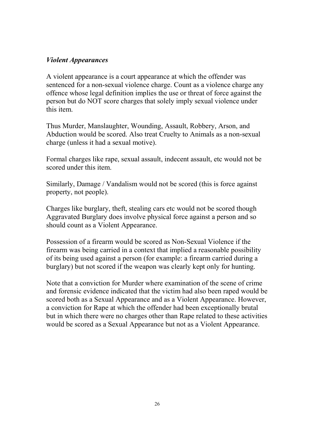#### Violent Appearances

A violent appearance is a court appearance at which the offender was sentenced for a non-sexual violence charge. Count as a violence charge any offence whose legal definition implies the use or threat of force against the person but do NOT score charges that solely imply sexual violence under this item.

Thus Murder, Manslaughter, Wounding, Assault, Robbery, Arson, and Abduction would be scored. Also treat Cruelty to Animals as a non-sexual charge (unless it had a sexual motive).

Formal charges like rape, sexual assault, indecent assault, etc would not be scored under this item.

Similarly, Damage / Vandalism would not be scored (this is force against property, not people).

Charges like burglary, theft, stealing cars etc would not be scored though Aggravated Burglary does involve physical force against a person and so should count as a Violent Appearance.

Possession of a firearm would be scored as Non-Sexual Violence if the firearm was being carried in a context that implied a reasonable possibility of its being used against a person (for example: a firearm carried during a burglary) but not scored if the weapon was clearly kept only for hunting.

Note that a conviction for Murder where examination of the scene of crime and forensic evidence indicated that the victim had also been raped would be scored both as a Sexual Appearance and as a Violent Appearance. However, a conviction for Rape at which the offender had been exceptionally brutal but in which there were no charges other than Rape related to these activities would be scored as a Sexual Appearance but not as a Violent Appearance.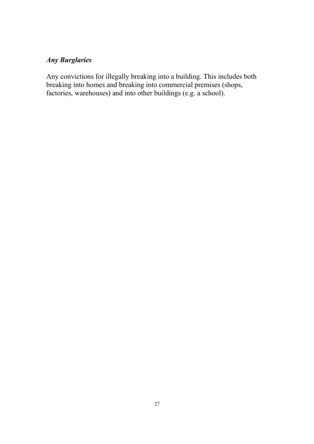## Any Burglaries

Any convictions for illegally breaking into a building. This includes both breaking into homes and breaking into commercial premises (shops, factories, warehouses) and into other buildings (e.g. a school).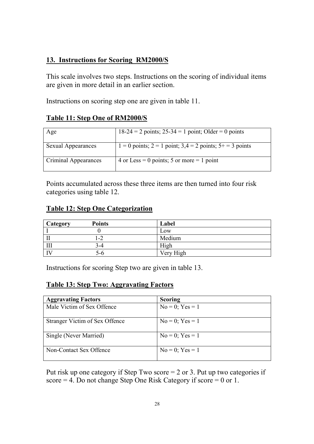#### 13. Instructions for Scoring RM2000/S

This scale involves two steps. Instructions on the scoring of individual items are given in more detail in an earlier section.

Instructions on scoring step one are given in table 11.

#### Table 11: Step One of RM2000/S

| Age                       | $18-24 = 2$ points; $25-34 = 1$ point; Older = 0 points         |
|---------------------------|-----------------------------------------------------------------|
| <b>Sexual Appearances</b> | $1 = 0$ points; $2 = 1$ point; $3,4 = 2$ points; $5 + 3$ points |
| Criminal Appearances      | 4 or Less = 0 points; 5 or more = 1 point                       |

Points accumulated across these three items are then turned into four risk categories using table 12.

#### Table 12: Step One Categorization

| Category | <b>Points</b> | Label     |
|----------|---------------|-----------|
|          |               | LOW       |
|          | $-2$          | Medium    |
| Ш        | 3-4           | High      |
|          | 5-6           | Very High |

Instructions for scoring Step two are given in table 13.

#### Table 13: Step Two: Aggravating Factors

| <b>Aggravating Factors</b>     | <b>Scoring</b>       |
|--------------------------------|----------------------|
| Male Victim of Sex Offence     | $No = 0$ ; $Yes = 1$ |
| Stranger Victim of Sex Offence | $No = 0$ ; $Yes = 1$ |
| Single (Never Married)         | $No = 0$ ; $Yes = 1$ |
| Non-Contact Sex Offence        | $No = 0$ ; $Yes = 1$ |

Put risk up one category if Step Two score = 2 or 3. Put up two categories if score = 4. Do not change Step One Risk Category if score = 0 or 1.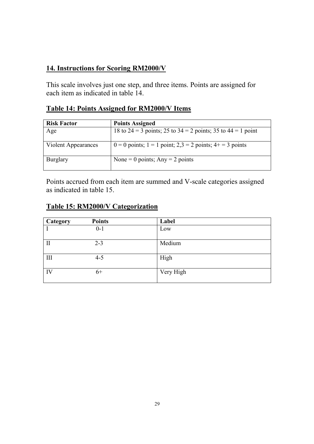### 14. Instructions for Scoring RM2000/V

This scale involves just one step, and three items. Points are assigned for each item as indicated in table 14.

## Table 14: Points Assigned for RM2000/V Items

| <b>Risk Factor</b>  | <b>Points Assigned</b>                                           |
|---------------------|------------------------------------------------------------------|
| Age                 | 18 to 24 = 3 points; 25 to 34 = 2 points; 35 to 44 = 1 point     |
| Violent Appearances | $0 = 0$ points; $1 = 1$ point; $2,3 = 2$ points; $4+ = 3$ points |
| Burglary            | None = 0 points; $Any = 2 points$                                |

Points accrued from each item are summed and V-scale categories assigned as indicated in table 15.

## Table 15: RM2000/V Categorization

| Category     | <b>Points</b> | Label     |
|--------------|---------------|-----------|
|              | $0 - 1$       | Low       |
| $\mathbf{I}$ | $2 - 3$       | Medium    |
| III          | $4 - 5$       | High      |
| IV           | 6+            | Very High |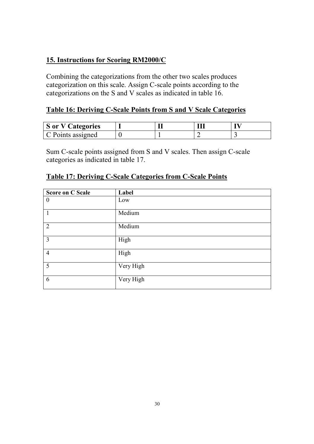### 15. Instructions for Scoring RM2000/C

Combining the categorizations from the other two scales produces categorization on this scale. Assign C-scale points according to the categorizations on the S and V scales as indicated in table 16.

### Table 16: Deriving C-Scale Points from S and V Scale Categories

| <b>S</b> or V Categories |  |  |
|--------------------------|--|--|
| C Points assigned        |  |  |

Sum C-scale points assigned from S and V scales. Then assign C-scale categories as indicated in table 17.

| <b>Score on C Scale</b> | Label     |
|-------------------------|-----------|
| $\theta$                | Low       |
| $\mathbf{1}$            | Medium    |
| $\overline{2}$          | Medium    |
| $\overline{3}$          | High      |
| $\overline{4}$          | High      |
| 5                       | Very High |
| 6                       | Very High |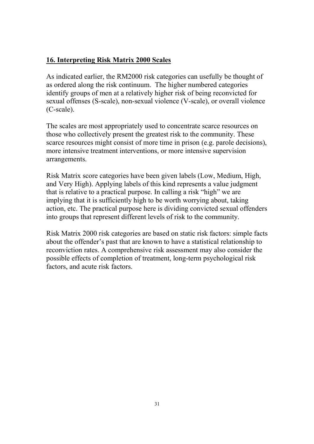#### 16. Interpreting Risk Matrix 2000 Scales

As indicated earlier, the RM2000 risk categories can usefully be thought of as ordered along the risk continuum. The higher numbered categories identify groups of men at a relatively higher risk of being reconvicted for sexual offenses (S-scale), non-sexual violence (V-scale), or overall violence (C-scale).

The scales are most appropriately used to concentrate scarce resources on those who collectively present the greatest risk to the community. These scarce resources might consist of more time in prison (e.g. parole decisions), more intensive treatment interventions, or more intensive supervision arrangements.

Risk Matrix score categories have been given labels (Low, Medium, High, and Very High). Applying labels of this kind represents a value judgment that is relative to a practical purpose. In calling a risk "high" we are implying that it is sufficiently high to be worth worrying about, taking action, etc. The practical purpose here is dividing convicted sexual offenders into groups that represent different levels of risk to the community.

Risk Matrix 2000 risk categories are based on static risk factors: simple facts about the offender's past that are known to have a statistical relationship to reconviction rates. A comprehensive risk assessment may also consider the possible effects of completion of treatment, long-term psychological risk factors, and acute risk factors.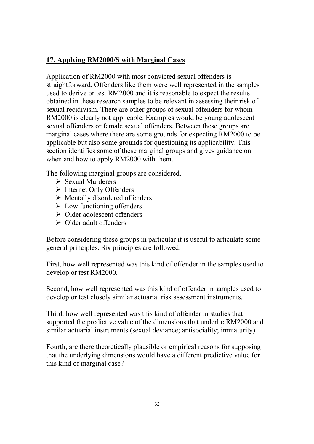## 17. Applying RM2000/S with Marginal Cases

Application of RM2000 with most convicted sexual offenders is straightforward. Offenders like them were well represented in the samples used to derive or test RM2000 and it is reasonable to expect the results obtained in these research samples to be relevant in assessing their risk of sexual recidivism. There are other groups of sexual offenders for whom RM2000 is clearly not applicable. Examples would be young adolescent sexual offenders or female sexual offenders. Between these groups are marginal cases where there are some grounds for expecting RM2000 to be applicable but also some grounds for questioning its applicability. This section identifies some of these marginal groups and gives guidance on when and how to apply RM2000 with them.

The following marginal groups are considered.

- $\triangleright$  Sexual Murderers
- $\triangleright$  Internet Only Offenders
- $\triangleright$  Mentally disordered offenders
- $\triangleright$  Low functioning offenders
- Older adolescent offenders
- $\triangleright$  Older adult offenders

Before considering these groups in particular it is useful to articulate some general principles. Six principles are followed.

First, how well represented was this kind of offender in the samples used to develop or test RM2000.

Second, how well represented was this kind of offender in samples used to develop or test closely similar actuarial risk assessment instruments.

Third, how well represented was this kind of offender in studies that supported the predictive value of the dimensions that underlie RM2000 and similar actuarial instruments (sexual deviance; antisociality; immaturity).

Fourth, are there theoretically plausible or empirical reasons for supposing that the underlying dimensions would have a different predictive value for this kind of marginal case?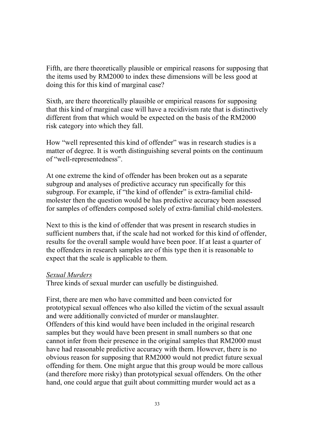Fifth, are there theoretically plausible or empirical reasons for supposing that the items used by RM2000 to index these dimensions will be less good at doing this for this kind of marginal case?

Sixth, are there theoretically plausible or empirical reasons for supposing that this kind of marginal case will have a recidivism rate that is distinctively different from that which would be expected on the basis of the RM2000 risk category into which they fall.

How "well represented this kind of offender" was in research studies is a matter of degree. It is worth distinguishing several points on the continuum of "well-representedness".

At one extreme the kind of offender has been broken out as a separate subgroup and analyses of predictive accuracy run specifically for this subgroup. For example, if "the kind of offender" is extra-familial childmolester then the question would be has predictive accuracy been assessed for samples of offenders composed solely of extra-familial child-molesters.

Next to this is the kind of offender that was present in research studies in sufficient numbers that, if the scale had not worked for this kind of offender, results for the overall sample would have been poor. If at least a quarter of the offenders in research samples are of this type then it is reasonable to expect that the scale is applicable to them.

#### Sexual Murders

Three kinds of sexual murder can usefully be distinguished.

First, there are men who have committed and been convicted for prototypical sexual offences who also killed the victim of the sexual assault and were additionally convicted of murder or manslaughter. Offenders of this kind would have been included in the original research samples but they would have been present in small numbers so that one cannot infer from their presence in the original samples that RM2000 must have had reasonable predictive accuracy with them. However, there is no obvious reason for supposing that RM2000 would not predict future sexual offending for them. One might argue that this group would be more callous (and therefore more risky) than prototypical sexual offenders. On the other hand, one could argue that guilt about committing murder would act as a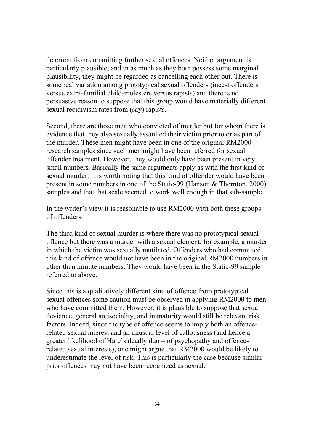deterrent from committing further sexual offences. Neither argument is particularly plausible, and in as much as they both possess some marginal plausibility, they might be regarded as cancelling each other out. There is some real variation among prototypical sexual offenders (incest offenders versus extra-familial child-molesters versus rapists) and there is no persuasive reason to suppose that this group would have materially different sexual recidivism rates from (say) rapists.

Second, there are those men who convicted of murder but for whom there is evidence that they also sexually assaulted their victim prior to or as part of the murder. These men might have been in one of the original RM2000 research samples since such men might have been referred for sexual offender treatment. However, they would only have been present in very small numbers. Basically the same arguments apply as with the first kind of sexual murder. It is worth noting that this kind of offender would have been present in some numbers in one of the Static-99 (Hanson & Thornton, 2000) samples and that that scale seemed to work well enough in that sub-sample.

In the writer's view it is reasonable to use RM2000 with both these groups of offenders.

The third kind of sexual murder is where there was no prototypical sexual offence but there was a murder with a sexual element, for example, a murder in which the victim was sexually mutilated. Offenders who had committed this kind of offence would not have been in the original RM2000 numbers in other than minute numbers. They would have been in the Static-99 sample referred to above.

Since this is a qualitatively different kind of offence from prototypical sexual offences some caution must be observed in applying RM2000 to men who have committed them. However, it is plausible to suppose that sexual deviance, general antisociality, and immaturity would still be relevant risk factors. Indeed, since the type of offence seems to imply both an offencerelated sexual interest and an unusual level of callousness (and hence a greater likelihood of Hare's deadly duo – of psychopathy and offencerelated sexual interests), one might argue that RM2000 would be likely to underestimate the level of risk. This is particularly the case because similar prior offences may not have been recognized as sexual.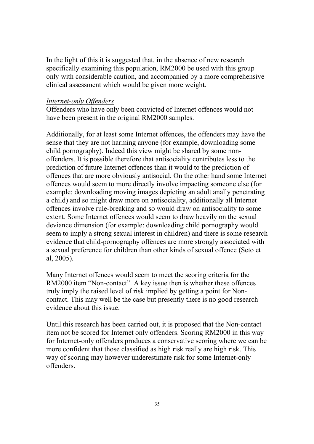In the light of this it is suggested that, in the absence of new research specifically examining this population, RM2000 be used with this group only with considerable caution, and accompanied by a more comprehensive clinical assessment which would be given more weight.

#### Internet-only Offenders

Offenders who have only been convicted of Internet offences would not have been present in the original RM2000 samples.

Additionally, for at least some Internet offences, the offenders may have the sense that they are not harming anyone (for example, downloading some child pornography). Indeed this view might be shared by some nonoffenders. It is possible therefore that antisociality contributes less to the prediction of future Internet offences than it would to the prediction of offences that are more obviously antisocial. On the other hand some Internet offences would seem to more directly involve impacting someone else (for example: downloading moving images depicting an adult anally penetrating a child) and so might draw more on antisociality, additionally all Internet offences involve rule-breaking and so would draw on antisociality to some extent. Some Internet offences would seem to draw heavily on the sexual deviance dimension (for example: downloading child pornography would seem to imply a strong sexual interest in children) and there is some research evidence that child-pornography offences are more strongly associated with a sexual preference for children than other kinds of sexual offence (Seto et al, 2005).

Many Internet offences would seem to meet the scoring criteria for the RM2000 item "Non-contact". A key issue then is whether these offences truly imply the raised level of risk implied by getting a point for Noncontact. This may well be the case but presently there is no good research evidence about this issue.

Until this research has been carried out, it is proposed that the Non-contact item not be scored for Internet only offenders. Scoring RM2000 in this way for Internet-only offenders produces a conservative scoring where we can be more confident that those classified as high risk really are high risk. This way of scoring may however underestimate risk for some Internet-only offenders.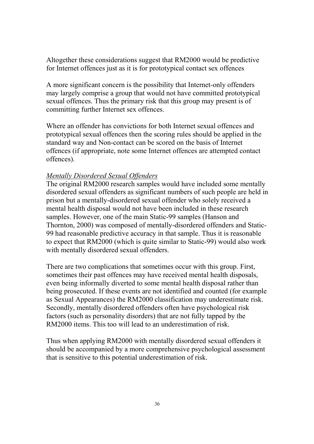Altogether these considerations suggest that RM2000 would be predictive for Internet offences just as it is for prototypical contact sex offences

A more significant concern is the possibility that Internet-only offenders may largely comprise a group that would not have committed prototypical sexual offences. Thus the primary risk that this group may present is of committing further Internet sex offences.

Where an offender has convictions for both Internet sexual offences and prototypical sexual offences then the scoring rules should be applied in the standard way and Non-contact can be scored on the basis of Internet offences (if appropriate, note some Internet offences are attempted contact offences).

#### Mentally Disordered Sexual Offenders

The original RM2000 research samples would have included some mentally disordered sexual offenders as significant numbers of such people are held in prison but a mentally-disordered sexual offender who solely received a mental health disposal would not have been included in these research samples. However, one of the main Static-99 samples (Hanson and Thornton, 2000) was composed of mentally-disordered offenders and Static-99 had reasonable predictive accuracy in that sample. Thus it is reasonable to expect that RM2000 (which is quite similar to Static-99) would also work with mentally disordered sexual offenders.

There are two complications that sometimes occur with this group. First, sometimes their past offences may have received mental health disposals, even being informally diverted to some mental health disposal rather than being prosecuted. If these events are not identified and counted (for example as Sexual Appearances) the RM2000 classification may underestimate risk. Secondly, mentally disordered offenders often have psychological risk factors (such as personality disorders) that are not fully tapped by the RM2000 items. This too will lead to an underestimation of risk.

Thus when applying RM2000 with mentally disordered sexual offenders it should be accompanied by a more comprehensive psychological assessment that is sensitive to this potential underestimation of risk.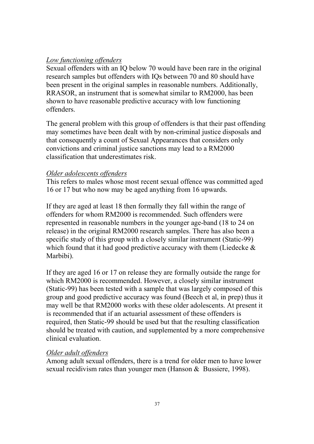#### Low functioning offenders

Sexual offenders with an IQ below 70 would have been rare in the original research samples but offenders with IQs between 70 and 80 should have been present in the original samples in reasonable numbers. Additionally, RRASOR, an instrument that is somewhat similar to RM2000, has been shown to have reasonable predictive accuracy with low functioning offenders.

The general problem with this group of offenders is that their past offending may sometimes have been dealt with by non-criminal justice disposals and that consequently a count of Sexual Appearances that considers only convictions and criminal justice sanctions may lead to a RM2000 classification that underestimates risk.

#### Older adolescents offenders

This refers to males whose most recent sexual offence was committed aged 16 or 17 but who now may be aged anything from 16 upwards.

If they are aged at least 18 then formally they fall within the range of offenders for whom RM2000 is recommended. Such offenders were represented in reasonable numbers in the younger age-band (18 to 24 on release) in the original RM2000 research samples. There has also been a specific study of this group with a closely similar instrument (Static-99) which found that it had good predictive accuracy with them (Liedecke  $\&$ Marbibi).

If they are aged 16 or 17 on release they are formally outside the range for which RM2000 is recommended. However, a closely similar instrument (Static-99) has been tested with a sample that was largely composed of this group and good predictive accuracy was found (Beech et al, in prep) thus it may well be that RM2000 works with these older adolescents. At present it is recommended that if an actuarial assessment of these offenders is required, then Static-99 should be used but that the resulting classification should be treated with caution, and supplemented by a more comprehensive clinical evaluation.

#### Older adult offenders

Among adult sexual offenders, there is a trend for older men to have lower sexual recidivism rates than younger men (Hanson & Bussiere, 1998).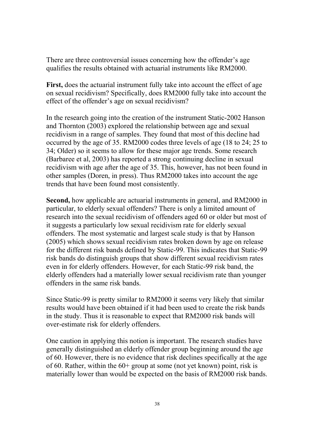There are three controversial issues concerning how the offender's age qualifies the results obtained with actuarial instruments like RM2000.

First, does the actuarial instrument fully take into account the effect of age on sexual recidivism? Specifically, does RM2000 fully take into account the effect of the offender's age on sexual recidivism?

In the research going into the creation of the instrument Static-2002 Hanson and Thornton (2003) explored the relationship between age and sexual recidivism in a range of samples. They found that most of this decline had occurred by the age of 35. RM2000 codes three levels of age (18 to 24; 25 to 34; Older) so it seems to allow for these major age trends. Some research (Barbaree et al, 2003) has reported a strong continuing decline in sexual recidivism with age after the age of 35. This, however, has not been found in other samples (Doren, in press). Thus RM2000 takes into account the age trends that have been found most consistently.

Second, how applicable are actuarial instruments in general, and RM2000 in particular, to elderly sexual offenders? There is only a limited amount of research into the sexual recidivism of offenders aged 60 or older but most of it suggests a particularly low sexual recidivism rate for elderly sexual offenders. The most systematic and largest scale study is that by Hanson (2005) which shows sexual recidivism rates broken down by age on release for the different risk bands defined by Static-99. This indicates that Static-99 risk bands do distinguish groups that show different sexual recidivism rates even in for elderly offenders. However, for each Static-99 risk band, the elderly offenders had a materially lower sexual recidivism rate than younger offenders in the same risk bands.

Since Static-99 is pretty similar to RM2000 it seems very likely that similar results would have been obtained if it had been used to create the risk bands in the study. Thus it is reasonable to expect that RM2000 risk bands will over-estimate risk for elderly offenders.

One caution in applying this notion is important. The research studies have generally distinguished an elderly offender group beginning around the age of 60. However, there is no evidence that risk declines specifically at the age of 60. Rather, within the 60+ group at some (not yet known) point, risk is materially lower than would be expected on the basis of RM2000 risk bands.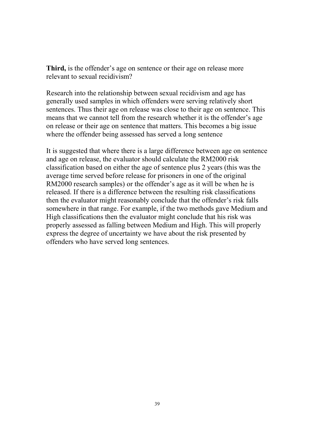Third, is the offender's age on sentence or their age on release more relevant to sexual recidivism?

Research into the relationship between sexual recidivism and age has generally used samples in which offenders were serving relatively short sentences. Thus their age on release was close to their age on sentence. This means that we cannot tell from the research whether it is the offender's age on release or their age on sentence that matters. This becomes a big issue where the offender being assessed has served a long sentence

It is suggested that where there is a large difference between age on sentence and age on release, the evaluator should calculate the RM2000 risk classification based on either the age of sentence plus 2 years (this was the average time served before release for prisoners in one of the original RM2000 research samples) or the offender's age as it will be when he is released. If there is a difference between the resulting risk classifications then the evaluator might reasonably conclude that the offender's risk falls somewhere in that range. For example, if the two methods gave Medium and High classifications then the evaluator might conclude that his risk was properly assessed as falling between Medium and High. This will properly express the degree of uncertainty we have about the risk presented by offenders who have served long sentences.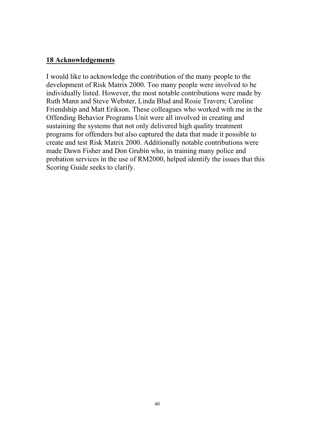#### 18 Acknowledgements

I would like to acknowledge the contribution of the many people to the development of Risk Matrix 2000. Too many people were involved to be individually listed. However, the most notable contributions were made by Ruth Mann and Steve Webster, Linda Blud and Rosie Travers; Caroline Friendship and Matt Erikson. These colleagues who worked with me in the Offending Behavior Programs Unit were all involved in creating and sustaining the systems that not only delivered high quality treatment programs for offenders but also captured the data that made it possible to create and test Risk Matrix 2000. Additionally notable contributions were made Dawn Fisher and Don Grubin who, in training many police and probation services in the use of RM2000, helped identify the issues that this Scoring Guide seeks to clarify.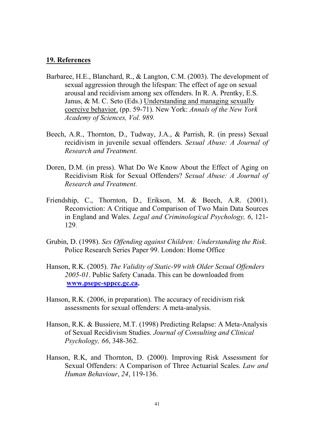#### 19. References

- Barbaree, H.E., Blanchard, R., & Langton, C.M. (2003). The development of sexual aggression through the lifespan: The effect of age on sexual arousal and recidivism among sex offenders. In R. A. Prentky, E.S. Janus, & M. C. Seto (Eds.) Understanding and managing sexually coercive behavior. (pp. 59-71). New York: Annals of the New York Academy of Sciences, Vol. 989.
- Beech, A.R., Thornton, D., Tudway, J.A., & Parrish, R. (in press) Sexual recidivism in juvenile sexual offenders. Sexual Abuse: A Journal of Research and Treatment.
- Doren, D.M. (in press). What Do We Know About the Effect of Aging on Recidivism Risk for Sexual Offenders? Sexual Abuse: A Journal of Research and Treatment.
- Friendship, C., Thornton, D., Erikson, M. & Beech, A.R. (2001). Reconviction: A Critique and Comparison of Two Main Data Sources in England and Wales. Legal and Criminological Psychology, 6, 121- 129.
- Grubin, D. (1998). Sex Offending against Children: Understanding the Risk. Police Research Series Paper 99. London: Home Office
- Hanson, R.K. (2005). The Validity of Static-99 with Older Sexual Offenders 2005-01. Public Safety Canada. This can be downloaded from www.psepc-sppcc.gc.ca.
- Hanson, R.K. (2006, in preparation). The accuracy of recidivism risk assessments for sexual offenders: A meta-analysis.
- Hanson, R.K. & Bussiere, M.T. (1998) Predicting Relapse: A Meta-Analysis of Sexual Recidivism Studies. Journal of Consulting and Clinical Psychology, 66, 348-362.
- Hanson, R.K, and Thornton, D. (2000). Improving Risk Assessment for Sexual Offenders: A Comparison of Three Actuarial Scales. Law and Human Behaviour, 24, 119-136.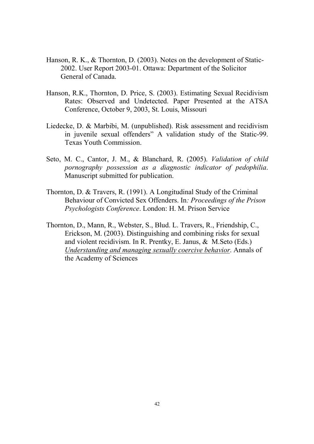- Hanson, R. K., & Thornton, D. (2003). Notes on the development of Static-2002. User Report 2003-01. Ottawa: Department of the Solicitor General of Canada.
- Hanson, R.K., Thornton, D. Price, S. (2003). Estimating Sexual Recidivism Rates: Observed and Undetected. Paper Presented at the ATSA Conference, October 9, 2003, St. Louis, Missouri
- Liedecke, D. & Marbibi, M. (unpublished). Risk assessment and recidivism in juvenile sexual offenders" A validation study of the Static-99. Texas Youth Commission.
- Seto, M. C., Cantor, J. M., & Blanchard, R. (2005). Validation of child pornography possession as a diagnostic indicator of pedophilia. Manuscript submitted for publication.
- Thornton, D. & Travers, R. (1991). A Longitudinal Study of the Criminal Behaviour of Convicted Sex Offenders. In: Proceedings of the Prison Psychologists Conference. London: H. M. Prison Service
- Thornton, D., Mann, R., Webster, S., Blud. L. Travers, R., Friendship, C., Erickson, M. (2003). Distinguishing and combining risks for sexual and violent recidivism. In R. Prentky, E. Janus, & M.Seto (Eds.) Understanding and managing sexually coercive behavior. Annals of the Academy of Sciences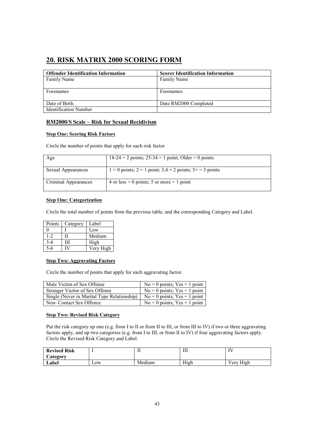## 20. RISK MATRIX 2000 SCORING FORM

| <b>Offender Identification Information</b> | <b>Scorer Identification Information</b> |
|--------------------------------------------|------------------------------------------|
| Family Name                                | Family Name                              |
|                                            |                                          |
| Forenames                                  | Forenames                                |
|                                            |                                          |
| Date of Birth                              | Date RM2000 Completed                    |
| <b>Identification Number</b>               |                                          |

#### RM2000/S Scale – Risk for Sexual Recidivism

#### Step One: Scoring Risk Factors

Circle the number of points that apply for each risk factor

| Age                       | $18-24 = 2$ points; $25-34 = 1$ point; Older = 0 points         |
|---------------------------|-----------------------------------------------------------------|
| <b>Sexual Appearances</b> | $1 = 0$ points; $2 = 1$ point; $3,4 = 2$ points; $5 + 3$ points |
| Criminal Appearances      | 4 or less = 0 points; 5 or more = 1 point                       |

#### **Step One: Categorization**

Circle the total number of points from the previous table, and the corresponding Category and Label.

| Points  | Category | Label     |
|---------|----------|-----------|
|         |          | Low       |
| $1 - 2$ |          | Medium    |
|         | ш        | High      |
|         |          | Very High |

#### Step Two: Aggravating Factors

Circle the number of points that apply for each aggravating factor.

| Male Victim of Sex Offense                  | $No = 0$ points; $Yes = 1$ point |
|---------------------------------------------|----------------------------------|
| Stranger Victim of Sex Offense              | $No = 0$ points; $Yes = 1$ point |
| Single (Never in Marital Type Relationship) | $No = 0$ points; $Yes = 1$ point |
| Non- Contact Sex Offence                    | $No = 0$ points; $Yes = 1$ point |

#### Step Two: Revised Risk Category

Put the risk category up one (e.g. from I to II or from II to III, or from III to IV) if two or three aggravating factors apply, and up two categories (e.g. from I to III, or from II to IV) if four aggravating factors apply. Circle the Revised Risk Category and Label.

| <b>Revised Risk</b> |     |        | Ш    |           |
|---------------------|-----|--------|------|-----------|
| <b>Category</b>     |     |        |      |           |
| Label               | LOW | Medium | High | Verv High |